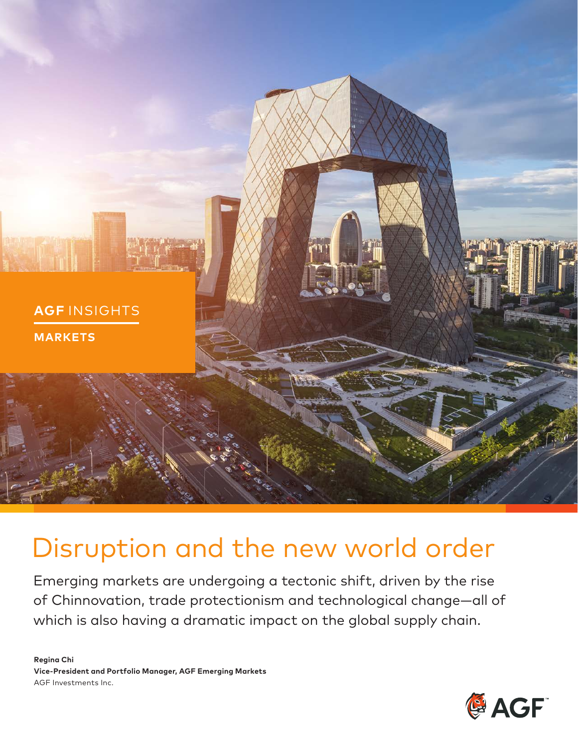

# Disruption and the new world order

Emerging markets are undergoing a tectonic shift, driven by the rise of Chinnovation, trade protectionism and technological change—all of which is also having a dramatic impact on the global supply chain.

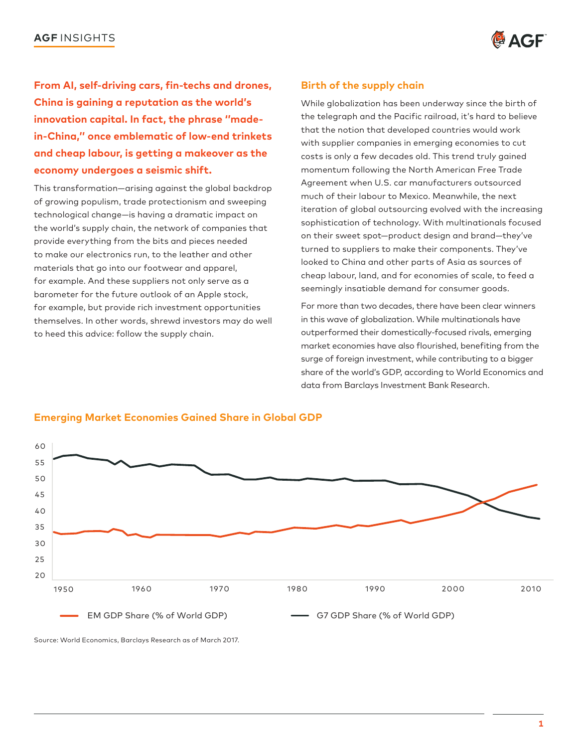

**From AI, self-driving cars, fin-techs and drones, China is gaining a reputation as the world's innovation capital. In fact, the phrase ''madein-China,'' once emblematic of low-end trinkets and cheap labour, is getting a makeover as the economy undergoes a seismic shift.** 

This transformation—arising against the global backdrop of growing populism, trade protectionism and sweeping technological change—is having a dramatic impact on the world's supply chain, the network of companies that provide everything from the bits and pieces needed to make our electronics run, to the leather and other materials that go into our footwear and apparel, for example. And these suppliers not only serve as a barometer for the future outlook of an Apple stock, for example, but provide rich investment opportunities themselves. In other words, shrewd investors may do well to heed this advice: follow the supply chain.

### **Birth of the supply chain**

While globalization has been underway since the birth of the telegraph and the Pacific railroad, it's hard to believe that the notion that developed countries would work with supplier companies in emerging economies to cut costs is only a few decades old. This trend truly gained momentum following the North American Free Trade Agreement when U.S. car manufacturers outsourced much of their labour to Mexico. Meanwhile, the next iteration of global outsourcing evolved with the increasing sophistication of technology. With multinationals focused on their sweet spot—product design and brand—they've turned to suppliers to make their components. They've looked to China and other parts of Asia as sources of cheap labour, land, and for economies of scale, to feed a seemingly insatiable demand for consumer goods.

For more than two decades, there have been clear winners in this wave of globalization. While multinationals have outperformed their domestically-focused rivals, emerging market economies have also flourished, benefiting from the surge of foreign investment, while contributing to a bigger share of the world's GDP, according to World Economics and data from Barclays Investment Bank Research.



### **Emerging Market Economies Gained Share in Global GDP**

Source: World Economics, Barclays Research as of March 2017.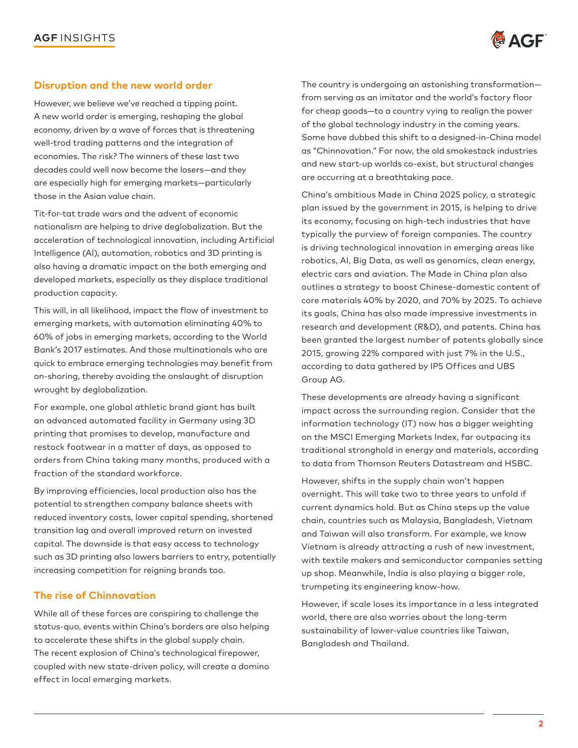

### **Disruption and the new world order**

 economies. The risk? The winners of these last two However, we believe we've reached a tipping point. A new world order is emerging, reshaping the global economy, driven by a wave of forces that is threatening well-trod trading patterns and the integration of decades could well now become the losers—and they are especially high for emerging markets—particularly those in the Asian value chain.

Tit-for-tat trade wars and the advent of economic nationalism are helping to drive deglobalization. But the acceleration of technological innovation, including Artificial Intelligence (AI), automation, robotics and 3D printing is also having a dramatic impact on the both emerging and developed markets, especially as they displace traditional production capacity.

This will, in all likelihood, impact the flow of investment to emerging markets, with automation eliminating 40% to 60% of jobs in emerging markets, according to the World Bank's 2017 estimates. And those multinationals who are quick to embrace emerging technologies may benefit from on-shoring, thereby avoiding the onslaught of disruption wrought by deglobalization.

For example, one global athletic brand giant has built an advanced automated facility in Germany using 3D printing that promises to develop, manufacture and restock footwear in a matter of days, as opposed to orders from China taking many months, produced with a fraction of the standard workforce.

By improving efficiencies, local production also has the potential to strengthen company balance sheets with reduced inventory costs, lower capital spending, shortened transition lag and overall improved return on invested capital. The downside is that easy access to technology such as 3D printing also lowers barriers to entry, potentially increasing competition for reigning brands too.

### **The rise of Chinnovation**

While all of these forces are conspiring to challenge the status-quo, events within China's borders are also helping to accelerate these shifts in the global supply chain. The recent explosion of China's technological firepower, coupled with new state-driven policy, will create a domino effect in local emerging markets.

The country is undergoing an astonishing transformation from serving as an imitator and the world's factory floor for cheap goods—to a country vying to realign the power of the global technology industry in the coming years. Some have dubbed this shift to a designed-in-China model as "Chinnovation." For now, the old smokestack industries and new start-up worlds co-exist, but structural changes are occurring at a breathtaking pace.

China's ambitious Made in China 2025 policy, a strategic plan issued by the government in 2015, is helping to drive its economy, focusing on high-tech industries that have typically the purview of foreign companies. The country is driving technological innovation in emerging areas like robotics, AI, Big Data, as well as genomics, clean energy, electric cars and aviation. The Made in China plan also outlines a strategy to boost Chinese-domestic content of core materials 40% by 2020, and 70% by 2025. To achieve its goals, China has also made impressive investments in research and development (R&D), and patents. China has been granted the largest number of patents globally since 2015, growing 22% compared with just 7% in the U.S., according to data gathered by IP5 Offices and UBS Group AG.

These developments are already having a significant impact across the surrounding region. Consider that the information technology (IT) now has a bigger weighting on the MSCI Emerging Markets Index, far outpacing its traditional stronghold in energy and materials, according to data from Thomson Reuters Datastream and HSBC.

However, shifts in the supply chain won't happen overnight. This will take two to three years to unfold if current dynamics hold. But as China steps up the value chain, countries such as Malaysia, Bangladesh, Vietnam and Taiwan will also transform. For example, we know Vietnam is already attracting a rush of new investment, with textile makers and semiconductor companies setting up shop. Meanwhile, India is also playing a bigger role, trumpeting its engineering know-how.

However, if scale loses its importance in a less integrated world, there are also worries about the long-term sustainability of lower-value countries like Taiwan, Bangladesh and Thailand.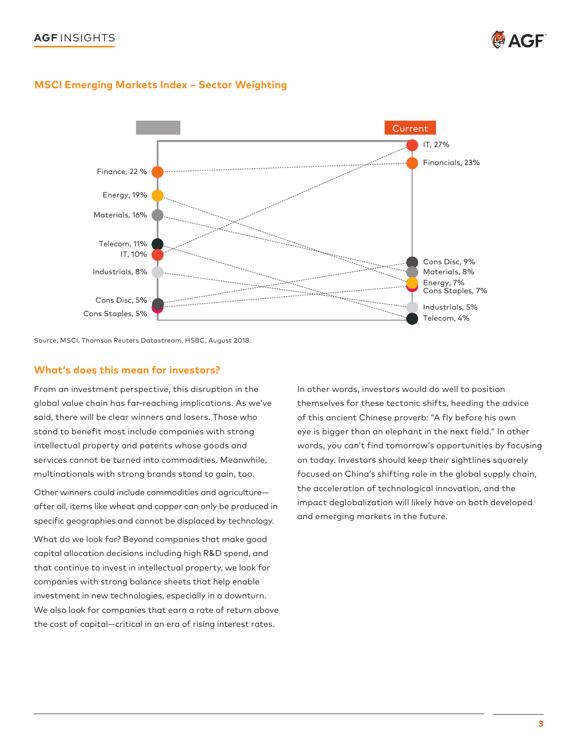## **AGF** INSIGHTS **for a structure of the structure of the structure of the structure of**  $\mathbf{\Phi}$  **AGF**



### **MSCI Emerging Markets Index – Sector Weighting**



Source: MSCI, Thomson Reuters Datastream, HSBC, August 2018.

#### **What's does this mean for investors?**

From an investment perspective, this disruption in the global value chain has far-reaching implications. As we've said, there will be clear winners and losers. Those who stand to benefit most include companies with strong intellectual property and patents whose goods and services cannot be turned into commodities. Meanwhile, multinationals with strong brands stand to gain, too.

Other winners could include commodities and agriculture after all, items like wheat and copper can only be produced in specific geographies and cannot be displaced by technology.

What do we look for? Beyond companies that make good capital allocation decisions including high R&D spend, and that continue to invest in intellectual property, we look for companies with strong balance sheets that help enable investment in new technologies, especially in a downturn. We also look for companies that earn a rate of return above the cost of capital—critical in an era of rising interest rates.

In other words, investors would do well to position themselves for these tectonic shifts, heeding the advice of this ancient Chinese proverb: "A fly before his own eye is bigger than an elephant in the next field." In other words, you can't find tomorrow's opportunities by focusing on today. Investors should keep their sightlines squarely focused on China's shifting role in the global supply chain, the acceleration of technological innovation, and the impact deglobalization will likely have on both developed and emerging markets in the future.